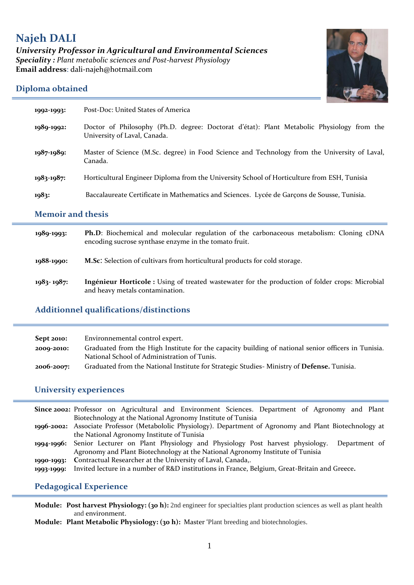# **Najeh DALI** *University Professor in Agricultural and Environmental Sciences Speciality : Plant metabolic sciences and Post-harvest Physiology*  **Email address**: dali-najeh@hotmail.com



## **[Diploma obtained](https://www.linguee.fr/anglais-francais/traduction/diploma+obtained.html)**

| 1992-1993:               | Post-Doc: United States of America                                                                                                               |
|--------------------------|--------------------------------------------------------------------------------------------------------------------------------------------------|
| 1989-1992:               | Doctor of Philosophy (Ph.D. degree: Doctorat d'état): Plant Metabolic Physiology from the<br>University of Laval, Canada.                        |
| 1987-1989:               | Master of Science (M.Sc. degree) in Food Science and Technology from the University of Laval,<br>Canada.                                         |
| 1983-1987:               | Horticultural Engineer Diploma from the University School of Horticulture from ESH, Tunisia                                                      |
| 1983:                    | Baccalaureate Certificate in Mathematics and Sciences. Lycée de Garçons de Sousse, Tunisia.                                                      |
| <b>Memoir and thesis</b> |                                                                                                                                                  |
| 1989-1993:               | Ph.D: Biochemical and molecular regulation of the carbonaceous metabolism: Cloning cDNA<br>encoding sucrose synthase enzyme in the tomato fruit. |

- **1988-1990: M.Sc**: Selection of cultivars from horticultural products for cold storage.
- **1983- 1987: Ingénieur Horticole :** Using of treated wastewater for the production of folder crops: Microbial and heavy metals contamination.

### **Additionnel qualifications/distinctions**

| <b>Sept 2010:</b> | Environnemental control expert.                                                                     |
|-------------------|-----------------------------------------------------------------------------------------------------|
| 2000-2010:        | Graduated from the High Institute for the capacity building of national senior officers in Tunisia. |
|                   | National School of Administration of Tunis.                                                         |
| 2006-2007:        | Graduated from the National Institute for Strategic Studies-Ministry of Defense. Tunisia.           |

# **University experiences**

|            | Since 2002: Professor on Agricultural and Environment Sciences. Department of Agronomy and Plant           |
|------------|------------------------------------------------------------------------------------------------------------|
|            | Biotechnology at the National Agronomy Institute of Tunisia                                                |
|            | 1996-2002: Associate Professor (Metabololic Physiology). Department of Agronomy and Plant Biotechnology at |
|            | the National Agronomy Institute of Tunisia                                                                 |
|            | 1994-1996: Senior Lecturer on Plant Physiology and Physiology Post harvest physiology.<br>Department of    |
|            | Agronomy and Plant Biotechnology at the National Agronomy Institute of Tunisia                             |
| 1990-1993: | Contractual Researcher at the University of Laval, Canada,.                                                |
| 1993-1999: | Invited lecture in a number of R&D institutions in France, Belgium, Great-Britain and Greece.              |
|            |                                                                                                            |

### **Pedagogical Experience**

**Module: Post harvest Physiology: (30 h):** 2nd engineer for specialties plant production sciences as well as plant health and environment.

**Module: Plant Metabolic Physiology: (30 h):** Master 'Plant breeding and biotechnologies.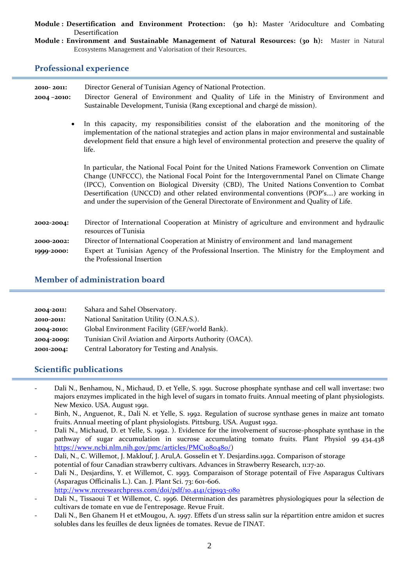**Module : Desertification and Environment Protection: (30 h):** Master 'Aridoculture and Combating Desertification

**Module : Environment and Sustainable Management of Natural Resources: (30 h):** Master in Natural Ecosystems Management and Valorisation of their Resources.

### **Professional experience**

| 2010-2011: | Director General of Tunisian Agency of National Protection.                                                                                                                                                                                                                                                                                                                                                                                                                          |  |
|------------|--------------------------------------------------------------------------------------------------------------------------------------------------------------------------------------------------------------------------------------------------------------------------------------------------------------------------------------------------------------------------------------------------------------------------------------------------------------------------------------|--|
| 2004-2010: | Director General of Environment and Quality of Life in the Ministry of Environment and<br>Sustainable Development, Tunisia (Rang exceptional and chargé de mission).                                                                                                                                                                                                                                                                                                                 |  |
| $\bullet$  | In this capacity, my responsibilities consist of the elaboration and the monitoring of the<br>implementation of the national strategies and action plans in major environmental and sustainable<br>development field that ensure a high level of environmental protection and preserve the quality of<br>life.                                                                                                                                                                       |  |
|            | In particular, the National Focal Point for the United Nations Framework Convention on Climate<br>Change (UNFCCC), the National Focal Point for the Intergovernmental Panel on Climate Change<br>(IPCC), Convention on Biological Diversity (CBD), The United Nations Convention to Combat<br>Desertification (UNCCD) and other related environmental conventions (POP's) are working in<br>and under the supervision of the General Directorate of Environment and Quality of Life. |  |
| 2002-2004: | Director of International Cooperation at Ministry of agriculture and environment and hydraulic<br>resources of Tunisia                                                                                                                                                                                                                                                                                                                                                               |  |
| 2000-2002: | Director of International Cooperation at Ministry of environment and land management                                                                                                                                                                                                                                                                                                                                                                                                 |  |
| 1999-2000: | Expert at Tunisian Agency of the Professional Insertion. The Ministry for the Employment and<br>the Professional Insertion                                                                                                                                                                                                                                                                                                                                                           |  |

### **Member of administration board**

| 2004-2011: | Sahara and Sahel Observatory.                          |
|------------|--------------------------------------------------------|
| 2010-2011: | National Sanitation Utility (O.N.A.S.).                |
| 2004-2010: | Global Environment Facility (GEF/world Bank).          |
| 2004-2009: | Tunisian Civil Aviation and Airports Authority (OACA). |
| 2001-2004: | Central Laboratory for Testing and Analysis.           |

### **Scientific publications**

- Dali N., Benhamou, N., Michaud, D. et Yelle, S. 1991. Sucrose phosphate synthase and cell wall invertase: two majors enzymes implicated in the high level of sugars in tomato fruits. Annual meeting of plant physiologists. New Mexico. USA. August 1991.
- Binh, N., Anguenot, R., Dali N. et Yelle, S. 1992. Regulation of sucrose synthase genes in maize ant tomato fruits. Annual meeting of plant physiologists. Pittsburg. USA. August 1992.
- Dali N., Michaud, D. et Yelle, S. 1992. ). Evidence for the involvement of sucrose-phosphate synthase in the pathway of sugar accumulation in sucrose accumulating tomato fruits. Plant Physiol 99 434.438 [https://www.ncbi.nlm.nih.gov/pmc/articles/PMC1080480/\)](https://www.ncbi.nlm.nih.gov/pmc/articles/PMC1080480/)
- Dali, N., C. Willemot, J. Maklouf, J. Arul,A. Gosselin et Y. Desjardins.1992. Comparison of storage potential of four Canadian strawberry cultivars. Advances in Strawberry Research, 11:17-20.
- Dali N., Desjardins, Y. et Willemot, C. 1993. Comparaison of Storage potentail of Five Asparagus Cultivars (Asparagus Officinalis L.). Can. J. Plant Sci. 73: 601-606. <http://www.nrcresearchpress.com/doi/pdf/10.4141/cjps93-080>
- Dali N., Tissaoui T et Willemot, C. 1996. Détermination des paramètres physiologiques pour la sélection de cultivars de tomate en vue de l'entreposage. Revue Fruit.
- Dali N., Ben Ghanem H et etMougou, A. 1997. Effets d'un stress salin sur la répartition entre amidon et sucres solubles dans les feuilles de deux lignées de tomates. Revue de l'INAT.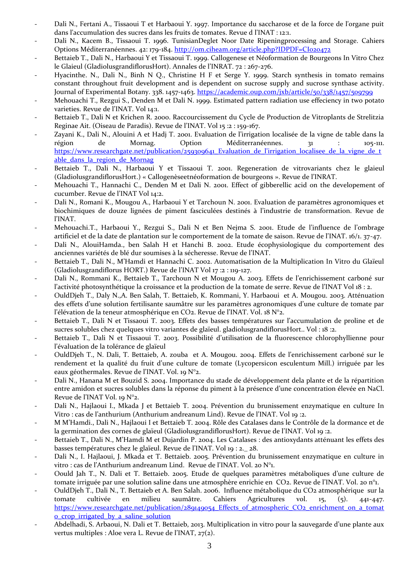- Dali N., Fertani A., Tissaoui T et Harbaoui Y. 1997. Importance du saccharose et de la force de l'organe puit dans l'accumulation des sucres dans les fruits de tomates. Revue d l'INAT : 12:1.
- Dali N., Kacem B., Tissaoui T. 1996. TunisianDeglet Noor Date Ripeningprocessing and Storage. Cahiers Options Méditerranéennes. 42: 179-184.<http://om.ciheam.org/article.php?IDPDF=CI020472>
- Bettaieb T., Dali N., Harbaoui Y et Tissaoui T. 1999. Callogenese et Néoformation de Bourgeons In Vitro Chez le Glaieul (GladiolusgrandiflorusHort). Annales de l'INRAT. 72 : 267-276.
- Hyacinthe. N., Dali N., Binh N Q., Christine H F et Serge Y. 1999. Starch synthesis in tomato remains constant throughout fruit development and is dependent on sucrose supply and sucrose synthase activity. Journal of Experimental Botany. 338. 1457-1463[. https://academic.oup.com/jxb/article/50/338/1457/509799](https://academic.oup.com/jxb/article/50/338/1457/509799)
- Mehouachi T., Rezgui S., Denden M et Dali N. 1999. Estimated pattern radiation use effeciency in two potato varieties. Revue de l'INAT. Vol 14:1.
- Bettaieb T., Dali N et Krichen R. 2000. Raccourcissement du Cycle de Production de Vitroplants de Strelitzia Reginae Ait. (Oiseau de Paradis). Revue de l'INAT. Vol 15 :2 : 159-167.
- Zayani K., Dali N., Alouini A et Hadj T. 2001. Evaluation de l'irrigation localisée de la vigne de table dans la région de Mornag. Option Méditerranéennes. 31 : 105-111. [https://www.researchgate.net/publication/259309641\\_Evaluation\\_de\\_l'irrigation\\_localisee\\_de\\_la\\_vigne\\_de\\_t](https://www.researchgate.net/publication/259309641_Evaluation_de_l) able dans la region de Mornag
- Bettaieb T., Dali N., Harbaoui Y et Tissaoui T. 2001. Regeneration de vitrovariants chez le glaieul (GladiolusgrandiflorusHort.) « Callogenèseetnéoformation de bourgeons ». Revue de l'INRAT.
- Mehouachi T., Hannachi C., Denden M et Dali N. 2001. Effect of gibberellic acid on the developement of cucumber. Revue de l'INAT Vol 14:2.
- Dali N., Romani K., Mougou A., Harbaoui Y et Tarchoun N. 2001. Evaluation de paramètres agronomiques et biochimiques de douze lignées de piment fasciculées destinés { l'industrie de transformation. Revue de l'INAT.
- Mehouachi.T., Harbaoui Y., Rezgui S., Dali N et Ben Nejma S. 2001. Etude de l'influence de l'ombrage artificiel et de la date de plantation sur le comportement de la tomate de saison. Revue de l'INAT. 16/1. 37-47.
- Dali N., AlouiHamda., ben Salah H et Hanchi B. 2002. Etude écophysiologique du comportement des anciennes variétés de blé dur soumises { la sécheresse. Revue de l'INAT.
- Bettaieb T., Dali N., M'Hamdi et Hannachi C. 2002. Automatisation de la Multiplication In Vitro du Glaïeul (Gladiolusgrandiflorus HORT.) Revue de l'INAT Vol 17 :2 : 119-127.
- Dali N., Rommani K., Bettaieb T., Tarchoun N et Mougou A. 2003. Effets de l'enrichissement carboné sur l'activité photosynthétique la croissance et la production de la tomate de serre. Revue de l'INAT Vol 18 : 2.
- OuldDjeh T., Daly N.,A. Ben Salah, T. Bettaieb, K. Rommani, Y. Harbaoui et A. Mougou. 2003. Atténuation des effets d'une solution fertilisante saumâtre sur les paramètres agronomiques d'une culture de tomate par l'élévation de la teneur atmosphérique en CO2. Revue de l'INAT. Vol. 18 N°2.
- Bettaieb T., Dali N et Tissaoui T. 2003. Effets des basses températures sur l'accumulation de proline et de sucres solubles chez quelques vitro variantes de glaïeul. gladiolusgrandiflorusHort.. Vol : 18 :2.
- Bettaieb T., Dali N et Tissaoui T. 2003. Possibilité d'utilisation de la fluorescence chlorophyllienne pour l'évaluation de la tolérance de glaïeul
- OuldDjeh T., N. Dali, T. Bettaieb, A. zouba et A. Mougou. 2004. Effets de l'enrichissement carboné sur le rendement et la qualité du fruit d'une culture de tomate (Lycopersicon esculentum Mill.) irriguée par les eaux géothermales. Revue de l'INAT. Vol. 19 N°2.
- Dali N., Hanana M et Bouzid S. 2004. Importance du stade de développement dela plante et de la répartition entre amidon et sucres solubles dans la réponse du piment à la présence d'une concentration élevée en NaCl. Revue de l'INAT Vol. 19 N°2.
- Dali N., Hajlaoui I., Mkada J et Bettaieb T. 2004. Prévention du brunissement enzymatique en culture In Vitro : cas de l'anthurium (Anthurium andreanum Lind). Revue de l'INAT. Vol 19 :2.
- M M'Hamdi., Dali N., Hajlaoui I et Bettaieb T. 2004. Rôle des Catalases dans le Contrôle de la dormance et de la germination des cornes de glaïeul (GladiolusgrandiflorusHort). Revue de l'INAT. Vol 19 :2.
- Bettaieb T., Dali N., M'Hamdi M et Dujardin P. 2004. Les Catalases : des antioxydants atténuant les effets des basses températures chez le glaïeul. Revue de l'INAT. Vol 19 : 2.\_ 28.
- Dali N., I. Hajlaoui, J. Mkada et T. Bettaieb. 2005. Prévention du brunissement enzymatique en culture in vitro : cas de l'Anthurium andreanum Lind. Revue de l'INAT. Vol. 20 N°1.
- Oould Jah T., N. Dali et T. Bettaieb. 2005. Etude de quelques paramètres métaboliques d'une culture de tomate irriguée par une solution saline dans une atmosphère enrichie en CO2. Revue de l'INAT. Vol. 20 n°1.
- OuldDjeh T., Dali N., T. Bettaieb et A. Ben Salah. 2006. Influence métabolique du CO2 atmosphérique sur la tomate cultivée en milieu saumâtre. Cahiers Agricultures vol. 15, (5). 441-447. [https://www.researchgate.net/publication/289149054\\_Effects\\_of\\_atmospheric\\_CO2\\_enrichment\\_on\\_a\\_tomat](https://www.researchgate.net/publication/289149054_Effects_of_atmospheric_CO2_enrichment_on_a_tomato_crop_irrigated_by_a_saline_solution) [o\\_crop\\_irrigated\\_by\\_a\\_saline\\_solution](https://www.researchgate.net/publication/289149054_Effects_of_atmospheric_CO2_enrichment_on_a_tomato_crop_irrigated_by_a_saline_solution)
- Abdelhadi, S. Arbaoui, N. Dali et T. Bettaieb, 2013. Multiplication in vitro pour la sauvegarde d'une plante aux vertus multiples : Aloe vera L. Revue de l'INAT, 27(2).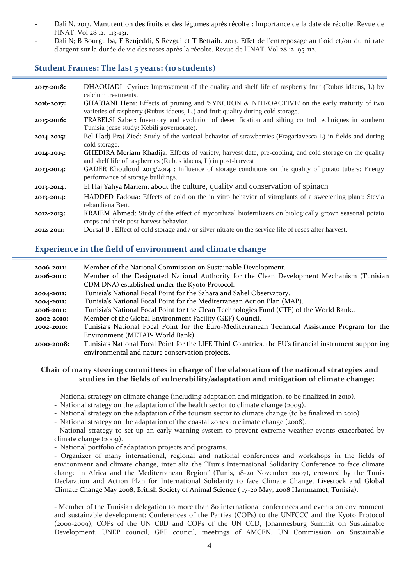- Dali N. 2013. Manutention des fruits et des légumes après récolte : Importance de la date de récolte. Revue de l'INAT. Vol 28 :2. 113-131.
- Dali N; B Bourguiba, F Benjeddi, S Rezgui et T Bettaib. 2013. Effet de l'entreposage au froid et/ou du nitrate d'argent sur la durée de vie des roses après la récolte. Revue de l'INAT. Vol 28 :2. 95-112.

### **Student Frames: The last 5 years: (10 students)**

| 2017-2018: | DHAOUADI Cyrine: Improvement of the quality and shelf life of raspberry fruit (Rubus idaeus, L) by<br>calcium treatments.                                                      |
|------------|--------------------------------------------------------------------------------------------------------------------------------------------------------------------------------|
| 2016-2017: | GHARIANI Heni: Effects of pruning and 'SYNCRON & NITROACTIVE' on the early maturity of two<br>varieties of raspberry (Rubus idaeus, L.) and fruit quality during cold storage. |
| 2015-2016: | TRABELSI Saber: Inventory and evolution of desertification and silting control techniques in southern<br>Tunisia (case study: Kebili governorate).                             |
| 2014-2015: | Bel Hadj Fraj Zied: Study of the varietal behavior of strawberries (Fragariavesca.L) in fields and during<br>cold storage.                                                     |
| 2014-2015: | GHEDIRA Meriam Khadija: Effects of variety, harvest date, pre-cooling, and cold storage on the quality<br>and shelf life of raspberries (Rubus idaeus, L) in post-harvest      |
| 2013-2014: | GADER Khouloud $2013/2014$ : Influence of storage conditions on the quality of potato tubers: Energy<br>performance of storage buildings.                                      |
| 2013-2014: | El Haj Yahya Mariem: about the culture, quality and conservation of spinach                                                                                                    |
| 2013-2014: | HADDED Fadoua: Effects of cold on the in vitro behavior of vitroplants of a sweetening plant: Stevia<br>rebaudiana Bert.                                                       |
| 2012-2013: | KRAIEM Ahmed: Study of the effect of mycorrhizal biofertilizers on biologically grown seasonal potato<br>crops and their post-harvest behavior.                                |
| 2012-2011: | Dorsaf B: Effect of cold storage and / or silver nitrate on the service life of roses after harvest.                                                                           |

## **Experience in the field of environment and climate change**

| 2006-2011: | Member of the National Commission on Sustainable Development.                                         |
|------------|-------------------------------------------------------------------------------------------------------|
| 2006-2011: | Member of the Designated National Authority for the Clean Development Mechanism (Tunisian             |
|            | CDM DNA) established under the Kyoto Protocol.                                                        |
| 2004-2011: | Tunisia's National Focal Point for the Sahara and Sahel Observatory.                                  |
| 2004-2011: | Tunisia's National Focal Point for the Mediterranean Action Plan (MAP).                               |
| 2006-2011: | Tunisia's National Focal Point for the Clean Technologies Fund (CTF) of the World Bank                |
| 2002-2010: | Member of the Global Environment Facility (GEF) Council.                                              |
| 2002-2010: | Tunisia's National Focal Point for the Euro-Mediterranean Technical Assistance Program for the        |
|            | Environment (METAP- World Bank).                                                                      |
| 2000-2008: | Tunisia's National Focal Point for the LIFE Third Countries, the EU's financial instrument supporting |
|            | environmental and nature conservation projects.                                                       |

#### **Chair of many steering committees in charge of the elaboration of the national strategies and studies in the fields of vulnerability/adaptation and mitigation of climate change:**

- National strategy on climate change (including adaptation and mitigation, to be finalized in 2010).

- National strategy on the adaptation of the health sector to climate change (2009).
- National strategy on the adaptation of the tourism sector to climate change (to be finalized in 2010)
- National strategy on the adaptation of the coastal zones to climate change (2008).

- National strategy to set-up an early warning system to prevent extreme weather events exacerbated by climate change (2009).

- National portfolio of adaptation projects and programs.

- Organizer of many international, regional and national conferences and workshops in the fields of environment and climate change, inter alia the "Tunis International Solidarity Conference to face climate change in Africa and the Mediterranean Region" (Tunis, 18-20 November 2007), crowned by the Tunis Declaration and Action Plan for International Solidarity to face Climate Change, Livestock and Global Climate Change May 2008, British Society of Animal Science ( 17-20 May, 2008 Hammamet, Tunisia).

- Member of the Tunisian delegation to more than 80 international conferences and events on environment and sustainable development: Conferences of the Parties (COPs) to the UNFCCC and the Kyoto Protocol (2000-2009), COPs of the UN CBD and COPs of the UN CCD, Johannesburg Summit on Sustainable Development, UNEP council, GEF council, meetings of AMCEN, UN Commission on Sustainable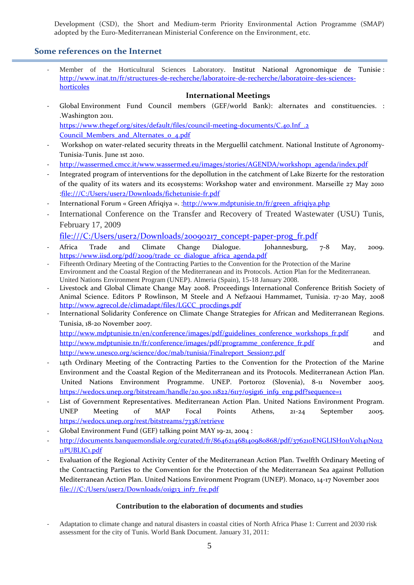Development (CSD), the Short and Medium-term Priority Environmental Action Programme (SMAP) adopted by the Euro-Mediterranean Ministerial Conference on the Environment, etc.

### **Some references on the Internet**

Member of the Horticultural Sciences Laboratory. Institut National Agronomique de Tunisie : [http://www.inat.tn/fr/structures-de-recherche/laboratoire-de-recherche/laboratoire-des-sciences](http://www.inat.tn/fr/structures-de-recherche/laboratoire-de-recherche/laboratoire-des-sciences-horticoles)[horticoles](http://www.inat.tn/fr/structures-de-recherche/laboratoire-de-recherche/laboratoire-des-sciences-horticoles)

#### **International Meetings**

- Global Environment Fund Council members (GEF/world Bank): alternates and constituencies. : .Washington 2011. https://www.thegef.org/sites/default/files/council-meeting-documents/C.40.Inf.2

Council Members and Alternates o 4.pdf

- Workshop on water-related security threats in the Merguellil catchment. National Institute of Agronomy-Tunisia-Tunis. June 1st 2010.
- [http://wassermed.cmcc.it/www.wassermed.eu/images/stories/AGENDA/workshop1\\_agenda/index.pdf](http://wassermed.cmcc.it/www.wassermed.eu/images/stories/AGENDA/workshop1_agenda/index.pdf)
- Integrated program of interventions for the depollution in the catchment of Lake Bizerte for the restoration of the quality of its waters and its ecosystems: Workshop water and environment. Marseille 27 May 2010 [:file:///C:/Users/user2/Downloads/fichetunisie-fr.pdf](file:///C:\Users\user2\Downloads\fichetunisie-fr.pdf)
- International Forum « Green Afriqiya ». : http://www.mdptunisie.tn/fr/green\_afriqiya.php
- International Conference on the Transfer and Recovery of Treated Wastewater (USU) Tunis, February 17, 2009

[file:///C:/Users/user2/Downloads/20090217\\_concept-paper-prog\\_fr.pdf](file:///C:\Users\user2\Downloads\20090217_concept-paper-prog_fr.pdf)

- Africa Trade and Climate Change Dialogue. Johannesburg, 7-8 May, 2009. [https://www.iisd.org/pdf/2009/trade\\_cc\\_dialogue\\_africa\\_agenda.pdf](https://www.iisd.org/pdf/2009/trade_cc_dialogue_africa_agenda.pdf)
- Fifteenth Ordinary Meeting of the Contracting Parties to the Convention for the Protection of the Marine Environment and the Coastal Region of the Mediterranean and its Protocols. Action Plan for the Mediterranean. United Nations Environment Program (UNEP). Almeria (Spain), 15-18 January 2008.
- Livestock and Global Climate Change May 2008. Proceedings International Conference British Society of Animal Science. Editors P Rowlinson, M Steele and A Nefzaoui Hammamet, Tunisia. 17-20 May, 2008 [http://www.agrecol.de/climadapt/files/LGCC\\_procdings.pdf](http://www.agrecol.de/climadapt/files/LGCC_procdings.pdf)
- International Solidarity Conference on Climate Change Strategies for African and Mediterranean Regions. Tunisia, 18-20 November 2007.

[http://www.mdptunisie.tn/en/conference/images/pdf/guidelines\\_conference\\_workshops\\_fr.pdf](http://www.mdptunisie.tn/en/conference/images/pdf/guidelines_conference_workshops_fr.pdf) and [http://www.mdptunisie.tn/fr/conference/images/pdf/programme\\_conference\\_fr.pdf](http://www.mdptunisie.tn/fr/conference/images/pdf/programme_conference_fr.pdf) and [http://www.unesco.org/science/doc/mab/tunisia/Finalreport\\_Session7.pdf](http://www.unesco.org/science/doc/mab/tunisia/Finalreport_Session7.pdf)

- 14th Ordinary Meeting of the Contracting Parties to the Convention for the Protection of the Marine Environment and the Coastal Region of the Mediterranean and its Protocols. Mediterranean Action Plan. United Nations Environment Programme. UNEP. Portoroz (Slovenia), 8-11 November 2005. [https://wedocs.unep.org/bitstream/handle/20.500.11822/6117/05ig16\\_inf9\\_eng.pdf?sequence=1](https://wedocs.unep.org/bitstream/handle/20.500.11822/6117/05ig16_inf9_eng.pdf?sequence=1)
- List of Government Representatives. Mediterranean Action Plan. United Nations Environment Program. UNEP Meeting of MAP Focal Points Athens, 21-24 September 2005. <https://wedocs.unep.org/rest/bitstreams/7338/retrieve>
- Global Environment Fund (GEF) talking point MAY 19-21, 2004 :
- http://documents.banquemondiale.org/curated/fr/864621468140980868/pdf/376210ENGLISH011Vol141N012 [11PUBLIC1.pdf](http://documents.banquemondiale.org/curated/fr/864621468140980868/pdf/376210ENGLISH011Vol141No1211PUBLIC1.pdf)
- Evaluation of the Regional Activity Center of the Mediterranean Action Plan. Twelfth Ordinary Meeting of the Contracting Parties to the Convention for the Protection of the Mediterranean Sea against Pollution Mediterranean Action Plan. United Nations Environment Program (UNEP). Monaco, 14-17 November 2001 file:///C:/Users/user2/Downloads/oiig13\_inf7\_fre.pdf

#### **Contribution to the elaboration of documents and studies**

- Adaptation to climate change and natural disasters in coastal cities of North Africa Phase 1: Current and 2030 risk assessment for the city of Tunis. World Bank Document. January 31, 2011: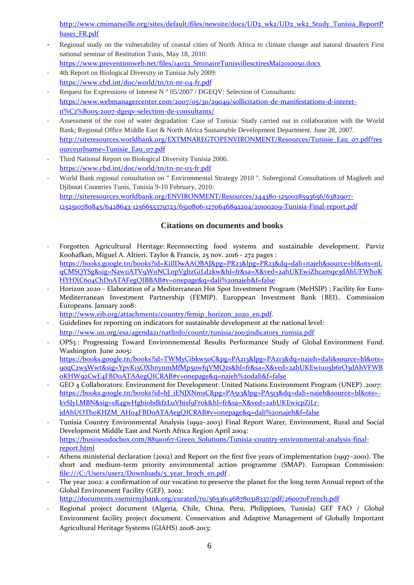[http://www.cmimarseille.org/sites/default/files/newsite/docs/UD2\\_wk2/UD2\\_wk2\\_Study\\_Tunisia\\_ReportP](http://www.cmimarseille.org/sites/default/files/newsite/docs/UD2_wk2/UD2_wk2_Study_Tunisia_ReportPhase1_FR.pdf)\_ [hase1\\_FR.pdf](http://www.cmimarseille.org/sites/default/files/newsite/docs/UD2_wk2/UD2_wk2_Study_Tunisia_ReportPhase1_FR.pdf)

- Regional study on the vulnerability of coastal cities of North Africa to climate change and natural disasters First national seminar of Restitution Tunis, May 18, 2010: [https://www.preventionweb.net/files/14033\\_SminaireTunisvillesctiresMai2010050.docx](https://www.preventionweb.net/files/14033_SminaireTunisvillesctiresMai2010050.docx)
- 4th Report on Biological Diversity in Tunisia July 2009: <https://www.cbd.int/doc/world/tn/tn-nr-04-fr.pdf>
- Request for Expressions of Interest N  $\degree$  05/2007 / DGEQV: Selection of Consultants: [https://www.webmanagercenter.com/2007/05/30/29049/sollicitation-de-manifestations-d-interet](https://www.webmanagercenter.com/2007/05/30/29049/sollicitation-de-manifestations-d-interet-n%C2%B005-2007-dgeqv-selection-de-consultants/)[n%C2%B005-2007-dgeqv-selection-de-consultants/](https://www.webmanagercenter.com/2007/05/30/29049/sollicitation-de-manifestations-d-interet-n%C2%B005-2007-dgeqv-selection-de-consultants/)
- Assessment of the cost of water degradation: Case of Tunisia: Study carried out in collaboration with the World Bank; Regional Office Middle East & North Africa Sustainable Development Department. June 28, 2007. [http://siteresources.worldbank.org/EXTMNAREGTOPENVIRONMENT/Resources/Tunisie\\_Eau\\_07.pdf?res](http://siteresources.worldbank.org/EXTMNAREGTOPENVIRONMENT/Resources/Tunisie_Eau_07.pdf?resourceurlname=Tunisie_Eau_07.pdf) [ourceurlname=Tunisie\\_Eau\\_07.pdf](http://siteresources.worldbank.org/EXTMNAREGTOPENVIRONMENT/Resources/Tunisie_Eau_07.pdf?resourceurlname=Tunisie_Eau_07.pdf)
- Third National Report on Biological Diversity Tunisia 2006. <https://www.cbd.int/doc/world/tn/tn-nr-03-fr.pdf>
- World Bank regional consultation on '' Environmental Strategy 2010 ''. Subregional Consultations of Maghreb and Djibouti Countries Tunis, Tunisia 9-10 February, 2010: [http://siteresources.worldbank.org/ENVIRONMENT/Resources/244380-1250028593656/6382907-](http://siteresources.worldbank.org/ENVIRONMENT/Resources/244380-1250028593656/6382907-1252510780845/6428643-1256655379723/6510806-1270646892204/20100209-Tunisia-Final-report.pdf) [1252510780845/6428643-1256655379723/6510806-1270646892204/20100209-Tunisia-Final-report.pdf](http://siteresources.worldbank.org/ENVIRONMENT/Resources/244380-1250028593656/6382907-1252510780845/6428643-1256655379723/6510806-1270646892204/20100209-Tunisia-Final-report.pdf)

## **Citations on documents and books**

- Forgotten Agricultural Heritage: Reconnecting food systems and sustainable development. Parviz [Koohafkan,](https://www.google.tn/search?hl=fr&tbo=p&tbm=bks&q=inauthor:%22Parviz+Koohafkan%22) [Miguel A. Altieri.](https://www.google.tn/search?hl=fr&tbo=p&tbm=bks&q=inauthor:%22Miguel+A.+Altieri%22) Taylor & Francis, 25 nov. 2016 - 272 pages : [https://books.google.tn/books?id=KiIlDwAAQBAJ&pg=PR23&lpg=PR23&dq=dali+najeh&source=bl&ots=nL](https://books.google.tn/books?id=KiIlDwAAQBAJ&pg=PR23&lpg=PR23&dq=dali+najeh&source=bl&ots=nLqCMSQYSg&sig=Naw1iATV9W0NCLopVgbzGiLd2kw&hl=fr&sa=X&ved=2ahUKEwiZhcamqe3dAhUFWhoKHYHXC604ChDoATAFegQIBBAB#v=onepage&q=dali%20najeh&f=false) [qCMSQYSg&sig=Naw1iATV9W0NCLopVgbzGiLd2kw&hl=fr&sa=X&ved=2ahUKEwiZhcamqe3dAhUFWhoK](https://books.google.tn/books?id=KiIlDwAAQBAJ&pg=PR23&lpg=PR23&dq=dali+najeh&source=bl&ots=nLqCMSQYSg&sig=Naw1iATV9W0NCLopVgbzGiLd2kw&hl=fr&sa=X&ved=2ahUKEwiZhcamqe3dAhUFWhoKHYHXC604ChDoATAFegQIBBAB#v=onepage&q=dali%20najeh&f=false) [HYHXC604ChDoATAFegQIBBAB#v=onepage&q=dali%20najeh&f=false](https://books.google.tn/books?id=KiIlDwAAQBAJ&pg=PR23&lpg=PR23&dq=dali+najeh&source=bl&ots=nLqCMSQYSg&sig=Naw1iATV9W0NCLopVgbzGiLd2kw&hl=fr&sa=X&ved=2ahUKEwiZhcamqe3dAhUFWhoKHYHXC604ChDoATAFegQIBBAB#v=onepage&q=dali%20najeh&f=false)
- Horizon 2020 Elaboration of a Mediterranean Hot Spot Investment Program (MeHSIP) ; Facility for Euro-Mediterranean Investment Partnership (FEMIP). Europpean Investment Bank (BEI).. Commission Europeans. January 2008:

[http://www.eib.org/attachments/country/femip\\_horizon\\_2020\\_en.pdf.](http://www.eib.org/attachments/country/femip_horizon_2020_en.pdf)

- Guidelines for reporting on indicators for sustainable development at the national level: [http://www.un.org/esa/agenda21/natlinfo/countr/tunisia/2003indicators\\_tunisia.pdf](http://www.un.org/esa/agenda21/natlinfo/countr/tunisia/2003indicators_tunisia.pdf)
- OPS3 : Progressing Toward Environnemental Results Performance Study of Global Environment Fund. Washington June 2005**:** [https://books.google.tn/books?id=TWMyCibkw50C&pg=PA213&lpg=PA213&dq=najeh+dali&source=bl&ots=](https://books.google.tn/books?id=TWMyCibkw50C&pg=PA213&lpg=PA213&dq=najeh+dali&source=bl&ots=9oqC2w5Wwt&sig=YpvK15OXhnynmMfMp5owfqVMQzs&hl=fr&sa=X&ved=2ahUKEwiuo5b6rO3dAhVFWBoKHW92CwE4FBDoATAAegQICRAB#v=onepage&q=najeh%20dali&f=false) [9oqC2w5Wwt&sig=YpvK15OXhnynmMfMp5owfqVMQzs&hl=fr&sa=X&ved=2ahUKEwiuo5b6rO3dAhVFWB](https://books.google.tn/books?id=TWMyCibkw50C&pg=PA213&lpg=PA213&dq=najeh+dali&source=bl&ots=9oqC2w5Wwt&sig=YpvK15OXhnynmMfMp5owfqVMQzs&hl=fr&sa=X&ved=2ahUKEwiuo5b6rO3dAhVFWBoKHW92CwE4FBDoATAAegQICRAB#v=onepage&q=najeh%20dali&f=false) [oKHW92CwE4FBDoATAAegQICRAB#v=onepage&q=najeh%20dali&f=false](https://books.google.tn/books?id=TWMyCibkw50C&pg=PA213&lpg=PA213&dq=najeh+dali&source=bl&ots=9oqC2w5Wwt&sig=YpvK15OXhnynmMfMp5owfqVMQzs&hl=fr&sa=X&ved=2ahUKEwiuo5b6rO3dAhVFWBoKHW92CwE4FBDoATAAegQICRAB#v=onepage&q=najeh%20dali&f=false)
- GEO 4 Collaborators: Environment for Development: United Nations Environment Program (UNEP) .2007: [https://books.google.tn/books?id=bJ\\_iENJXNmsC&pg=PA513&lpg=PA513&dq=dali+najeh&source=bl&ots=](https://books.google.tn/books?id=bJ_iENJXNmsC&pg=PA513&lpg=PA513&dq=dali+najeh&source=bl&ots=-kvSJyLMBN&sig=sR4gwHgbiobdkfzLuVbisf9Frok&hl=fr&sa=X&ved=2ahUKEwicpZiLr-jdAhUOThoKHZM_AHo4FBDoATAAegQICRAB#v=onepage&q=dali%20najeh&f=false) [kvSJyLMBN&sig=sR4gwHgbiobdkfzLuVbisf9Frok&hl=fr&sa=X&ved=2ahUKEwicpZiLr](https://books.google.tn/books?id=bJ_iENJXNmsC&pg=PA513&lpg=PA513&dq=dali+najeh&source=bl&ots=-kvSJyLMBN&sig=sR4gwHgbiobdkfzLuVbisf9Frok&hl=fr&sa=X&ved=2ahUKEwicpZiLr-jdAhUOThoKHZM_AHo4FBDoATAAegQICRAB#v=onepage&q=dali%20najeh&f=false)[jdAhUOThoKHZM\\_AHo4FBDoATAAegQICRAB#v=onepage&q=dali%20najeh&f=false](https://books.google.tn/books?id=bJ_iENJXNmsC&pg=PA513&lpg=PA513&dq=dali+najeh&source=bl&ots=-kvSJyLMBN&sig=sR4gwHgbiobdkfzLuVbisf9Frok&hl=fr&sa=X&ved=2ahUKEwicpZiLr-jdAhUOThoKHZM_AHo4FBDoATAAegQICRAB#v=onepage&q=dali%20najeh&f=false)
- Tunisia Country Environmental Analysis (1992–2003) Final Report Water, Environment, Rural and Social Development Middle East and North Africa Region April 2004: [https://businessdocbox.com/88910167-Green\\_Solutions/Tunisia-country-environmental-analysis-final](https://businessdocbox.com/88910167-Green_Solutions/Tunisia-country-environmental-analysis-final-report.html)[report.html](https://businessdocbox.com/88910167-Green_Solutions/Tunisia-country-environmental-analysis-final-report.html)
- Athens ministerial declaration (2002) and Report on the first five years of implementation (1997–2001). The short and medium-term priority environmental action programme (SMAP). European Commission: [file:///C:/Users/user2/Downloads/5\\_year\\_broch\\_en.pdf](file:///C:\Users\user2\Downloads\5_year_broch_en.pdf).
- The year 2002: a confirmation of our vocation to preserve the planet for the long term Annual report of the Global Environment Facility (GEF), 2002:

<http://documents.vsemirnyjbank.org/curated/ru/565361468780318337/pdf/260070French.pdf>

Regional project document (Algeria, Chile, China, Peru, Philippines, Tunisia) GEF FAO / Global Environment facility project document. Conservation and Adaptive Management of Globally Important Agricultural Heritage Systems (GIAHS) 2008-2013: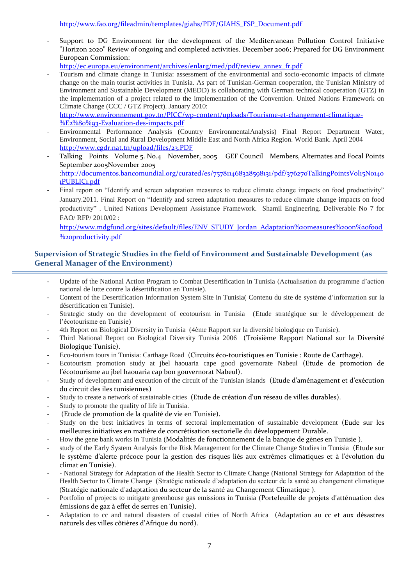Support to DG Environment for the development of the Mediterranean Pollution Control Initiative "Horizon 2020" Review of ongoing and completed activities. December 2006; Prepared for DG Environment European Commission:

[http://ec.europa.eu/environment/archives/enlarg/med/pdf/review\\_annex\\_fr.pdf](http://ec.europa.eu/environment/archives/enlarg/med/pdf/review_annex_fr.pdf)

- Tourism and climate change in Tunisia: assessment of the environmental and socio-economic impacts of climate change on the main tourist activities in Tunisia. As part of Tunisian-German cooperation, the Tunisian Ministry of Environment and Sustainable Development (MEDD) is collaborating with German technical cooperation (GTZ) in the implementation of a project related to the implementation of the Convention. United Nations Framework on Climate Change (CCC / GTZ Project). January 2010:

[http://www.environnement.gov.tn/PICC/wp-content/uploads/Tourisme-et-changement-climatique-](http://www.environnement.gov.tn/PICC/wp-content/uploads/Tourisme-et-changement-climatique-%E2%80%93-Evaluation-des-impacts.pdf) [%E2%80%93-Evaluation-des-impacts.pdf](http://www.environnement.gov.tn/PICC/wp-content/uploads/Tourisme-et-changement-climatique-%E2%80%93-Evaluation-des-impacts.pdf)

- Environmental Performance Analysis (Country EnvironmentalAnalysis) Final Report Department Water, Environment, Social and Rural Development Middle East and North Africa Region. World Bank. April 2004 <http://www.cgdr.nat.tn/upload/files/23.PDF>
- Talking Points Volume 5. No.4 November, 2005 GEF Council Members, Alternates and Focal Points September 2005November 2005 [:http://documentos.bancomundial.org/curated/es/757811468328598131/pdf/376270TalkingPointsVol15No140](http://documentos.bancomundial.org/curated/es/757811468328598131/pdf/376270TalkingPointsVol15No1401PUBLIC1.pdf) [1PUBLIC1.pdf](http://documentos.bancomundial.org/curated/es/757811468328598131/pdf/376270TalkingPointsVol15No1401PUBLIC1.pdf)
- Final report on "Identify and screen adaptation measures to reduce climate change impacts on food productivity" January.2011. Final Report on "Identify and screen adaptation measures to reduce climate change impacts on food productivity" . United Nations Development Assistance Framework. Shamil Engineering. Deliverable No 7 for FAO/ RFP/ 2010/02 :

[http://www.mdgfund.org/sites/default/files/ENV\\_STUDY\\_Jordan\\_Adaptation%20measures%20on%20food](http://www.mdgfund.org/sites/default/files/ENV_STUDY_Jordan_Adaptation%20measures%20on%20food%20productivity.pdf) [%20productivity.pdf](http://www.mdgfund.org/sites/default/files/ENV_STUDY_Jordan_Adaptation%20measures%20on%20food%20productivity.pdf)

### **Supervision of Strategic Studies in the field of Environment and Sustainable Development (as General Manager of the Environment)**

- Update of the National Action Program to Combat Desertification in Tunisia (Actualisation du programme d'action national de lutte contre la désertification en Tunisie).
- Content of the Desertification Information System Site in Tunisia( Contenu du site de système d'information sur la désertification en Tunisie).
- Strategic study on the development of ecotourism in Tunisia (Etude stratégique sur le développement de l'écotourisme en Tunisie)
- 4th Report on Biological Diversity in Tunisia (4ème Rapport sur la diversité biologique en Tunisie).
- Third National Report on Biological Diversity Tunisia 2006 (Troisième Rapport National sur la Diversité Biologique Tunisie).
- Eco-tourism tours in Tunisia: Carthage Road (Circuits éco-touristiques en Tunisie : Route de Carthage).
- Ecotourism promotion study at jbel haouaria cape good governorate Nabeul (Etude de promotion de l'écotourisme au jbel haouaria cap bon gouvernorat Nabeul).
- Study of development and execution of the circuit of the Tunisian islands (Etude d'aménagement et d'exécution du circuit des iles tunisiennes)
- Study to create a network of sustainable cities (Etude de création d'un réseau de villes durables).
- Study to promote the quality of life in Tunisia.
- (Etude de promotion de la qualité de vie en Tunisie).
- Study on the best initiatives in terms of sectoral implementation of sustainable development (Eude sur les meilleures initiatives en matière de concrétisation sectorielle du développement Durable.
- How the gene bank works in Tunisia (Modalités de fonctionnement de la banque de gènes en Tunisie ).
- study of the Early System Analysis for the Risk Management for the Climate Change Studies in Tunisia (Etude sur le système d'alerte précoce pour la gestion des risques liés aux extrêmes climatiques et à l'évolution du climat en Tunisie).
- National Strategy for Adaptation of the Health Sector to Climate Change (National Strategy for Adaptation of the Health Sector to Climate Change (Stratégie nationale d'adaptation du secteur de la santé au changement climatique (Stratégie nationale d'adaptation du secteur de la santé au Changement Climatique ).
- Portfolio of projects to mitigate greenhouse gas emissions in Tunisia (Portefeuille de projets d'atténuation des émissions de gaz à effet de serres en Tunisie).
- Adaptation to cc and natural disasters of coastal cities of North Africa (Adaptation au cc et aux désastres naturels des villes côtières d'Afrique du nord).